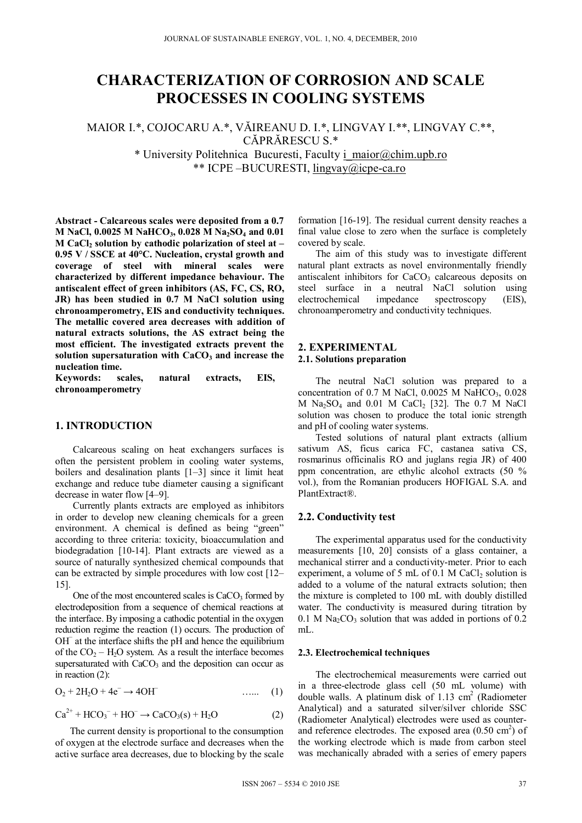# **CHARACTERIZATION OF CORROSION AND SCALE PROCESSES IN COOLING SYSTEMS**

MAIOR I.\*, COJOCARU A.\*, VĂIREANU D. I.\*, LINGVAY I.\*\*, LINGVAY C.\*\*, CĂPRĂRESCU S<sup>\*</sup>

> \* University Politehnica Bucuresti, Faculty i\_maior@chim.upb.ro \*\* ICPE –BUCURESTI, lingvay@icpe-ca.ro

**Abstract - Calcareous scales were deposited from a 0.7 M NaCl, 0.0025 M NaHCO<sub>3</sub>, 0.028 M Na<sub>2</sub>SO<sub>4</sub> and 0.01 M CaCl<sub>2</sub> solution by cathodic polarization of steel at – 0.95 V / SSCE at 40°C. Nucleation, crystal growth and coverage of steel with mineral scales were characterized by different impedance behaviour. The antiscalent effect of green inhibitors (AS, FC, CS, RO, JR) has been studied in 0.7 M NaCl solution using chronoamperometry, EIS and conductivity techniques. The metallic covered area decreases with addition of natural extracts solutions, the AS extract being the most efficient. The investigated extracts prevent the**  solution supersaturation with CaCO<sub>3</sub> and increase the **nucleation time.** 

**Keywords: scales, natural extracts, EIS, chronoamperometry** 

# **1. INTRODUCTION**

Calcareous scaling on heat exchangers surfaces is often the persistent problem in cooling water systems, boilers and desalination plants [1–3] since it limit heat exchange and reduce tube diameter causing a significant decrease in water flow [4–9].

Currently plants extracts are employed as inhibitors in order to develop new cleaning chemicals for a green environment. A chemical is defined as being "green" according to three criteria: toxicity, bioaccumulation and biodegradation [10-14]. Plant extracts are viewed as a source of naturally synthesized chemical compounds that can be extracted by simple procedures with low cost [12– 15].

One of the most encountered scales is  $CaCO<sub>3</sub>$  formed by electrodeposition from a sequence of chemical reactions at the interface. By imposing a cathodic potential in the oxygen reduction regime the reaction (1) occurs. The production of OH− at the interface shifts the pH and hence the equilibrium of the  $CO<sub>2</sub> - H<sub>2</sub>O$  system. As a result the interface becomes supersaturated with  $CaCO<sub>3</sub>$  and the deposition can occur as in reaction (2):

$$
O_2 + 2H_2O + 4e^- \rightarrow 4OH \tag{1}
$$

$$
\text{Ca}^{2+} + \text{HCO}_3^- + \text{HO}^- \rightarrow \text{CaCO}_3(s) + \text{H}_2\text{O}
$$
 (2)

 The current density is proportional to the consumption of oxygen at the electrode surface and decreases when the active surface area decreases, due to blocking by the scale formation [16-19]. The residual current density reaches a final value close to zero when the surface is completely covered by scale.

The aim of this study was to investigate different natural plant extracts as novel environmentally friendly antiscalent inhibitors for  $CaCO<sub>3</sub>$  calcareous deposits on steel surface in a neutral NaCl solution using electrochemical impedance spectroscopy (EIS), chronoamperometry and conductivity techniques.

## **2. EXPERIMENTAL 2.1. Solutions preparation**

The neutral NaCl solution was prepared to a concentration of  $0.7$  M NaCl,  $0.0025$  M NaHCO<sub>3</sub>,  $0.028$  $M$  Na<sub>2</sub>SO<sub>4</sub> and 0.01 M CaCl<sub>2</sub> [32]. The 0.7 M NaCl solution was chosen to produce the total ionic strength and pH of cooling water systems.

Tested solutions of natural plant extracts (allium sativum AS, ficus carica FC, castanea sativa CS, rosmarinus officinalis RO and juglans regia JR) of 400 ppm concentration, are ethylic alcohol extracts (50 % vol.), from the Romanian producers HOFIGAL S.A. and PlantExtract®.

#### **2.2. Conductivity test**

The experimental apparatus used for the conductivity measurements [10, 20] consists of a glass container, a mechanical stirrer and a conductivity-meter. Prior to each experiment, a volume of  $5 \text{ mL of } 0.1 \text{ M } CaCl<sub>2</sub>$  solution is added to a volume of the natural extracts solution; then the mixture is completed to 100 mL with doubly distilled water. The conductivity is measured during titration by  $0.1$  M Na<sub>2</sub>CO<sub>3</sub> solution that was added in portions of 0.2 mL.

#### **2.3. Electrochemical techniques**

The electrochemical measurements were carried out in a three-electrode glass cell (50 mL volume) with double walls. A platinum disk of  $1.13 \text{ cm}^2$  (Radiometer Analytical) and a saturated silver/silver chloride SSC (Radiometer Analytical) electrodes were used as counterand reference electrodes. The exposed area  $(0.50 \text{ cm}^2)$  of the working electrode which is made from carbon steel was mechanically abraded with a series of emery papers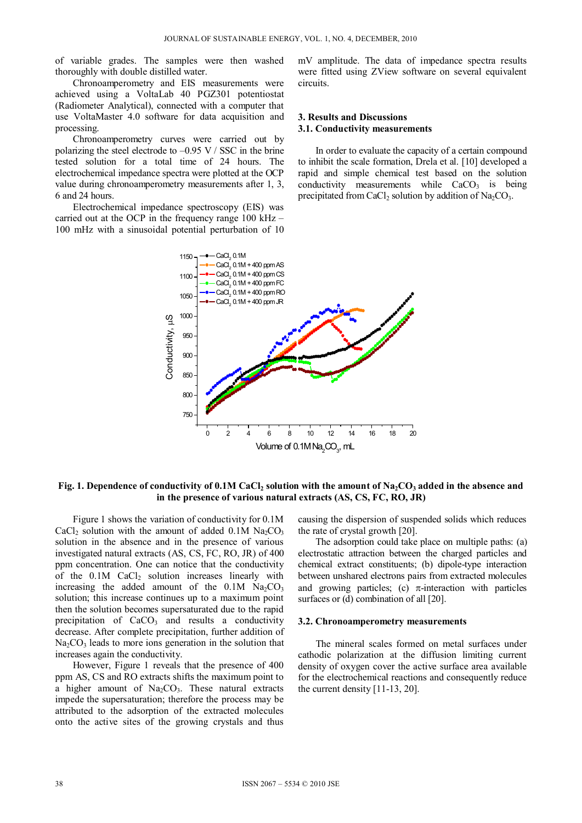of variable grades. The samples were then washed thoroughly with double distilled water.

Chronoamperometry and EIS measurements were achieved using a VoltaLab 40 PGZ301 potentiostat (Radiometer Analytical), connected with a computer that use VoltaMaster 4.0 software for data acquisition and processing.

Chronoamperometry curves were carried out by polarizing the steel electrode to  $-0.95$  V / SSC in the brine tested solution for a total time of 24 hours. The electrochemical impedance spectra were plotted at the OCP value during chronoamperometry measurements after 1, 3, 6 and 24 hours.

Electrochemical impedance spectroscopy (EIS) was carried out at the OCP in the frequency range 100 kHz – 100 mHz with a sinusoidal potential perturbation of 10 mV amplitude. The data of impedance spectra results were fitted using ZView software on several equivalent circuits.

## **3. Results and Discussions 3.1. Conductivity measurements**

In order to evaluate the capacity of a certain compound to inhibit the scale formation, Drela et al. [10] developed a rapid and simple chemical test based on the solution conductivity measurements while  $CaCO<sub>3</sub>$  is being precipitated from CaCl<sub>2</sub> solution by addition of Na<sub>2</sub>CO<sub>3</sub>.



## Fig. 1. Dependence of conductivity of 0.1M CaCl<sub>2</sub> solution with the amount of Na<sub>2</sub>CO<sub>3</sub> added in the absence and **in the presence of various natural extracts (AS, CS, FC, RO, JR)**

Figure 1 shows the variation of conductivity for 0.1M CaCl<sub>2</sub> solution with the amount of added  $0.1M$  Na<sub>2</sub>CO<sub>3</sub> solution in the absence and in the presence of various investigated natural extracts (AS, CS, FC, RO, JR) of 400 ppm concentration. One can notice that the conductivity of the  $0.1M$  CaCl<sub>2</sub> solution increases linearly with increasing the added amount of the  $0.1M$  Na<sub>2</sub>CO<sub>3</sub> solution; this increase continues up to a maximum point then the solution becomes supersaturated due to the rapid precipitation of  $CaCO<sub>3</sub>$  and results a conductivity decrease. After complete precipitation, further addition of  $Na<sub>2</sub>CO<sub>3</sub>$  leads to more ions generation in the solution that increases again the conductivity.

However, Figure 1 reveals that the presence of 400 ppm AS, CS and RO extracts shifts the maximum point to a higher amount of  $Na<sub>2</sub>CO<sub>3</sub>$ . These natural extracts impede the supersaturation; therefore the process may be attributed to the adsorption of the extracted molecules onto the active sites of the growing crystals and thus

causing the dispersion of suspended solids which reduces the rate of crystal growth [20].

The adsorption could take place on multiple paths: (a) electrostatic attraction between the charged particles and chemical extract constituents; (b) dipole-type interaction between unshared electrons pairs from extracted molecules and growing particles; (c)  $\pi$ -interaction with particles surfaces or (d) combination of all [20].

#### **3.2. Chronoamperometry measurements**

The mineral scales formed on metal surfaces under cathodic polarization at the diffusion limiting current density of oxygen cover the active surface area available for the electrochemical reactions and consequently reduce the current density [11-13, 20].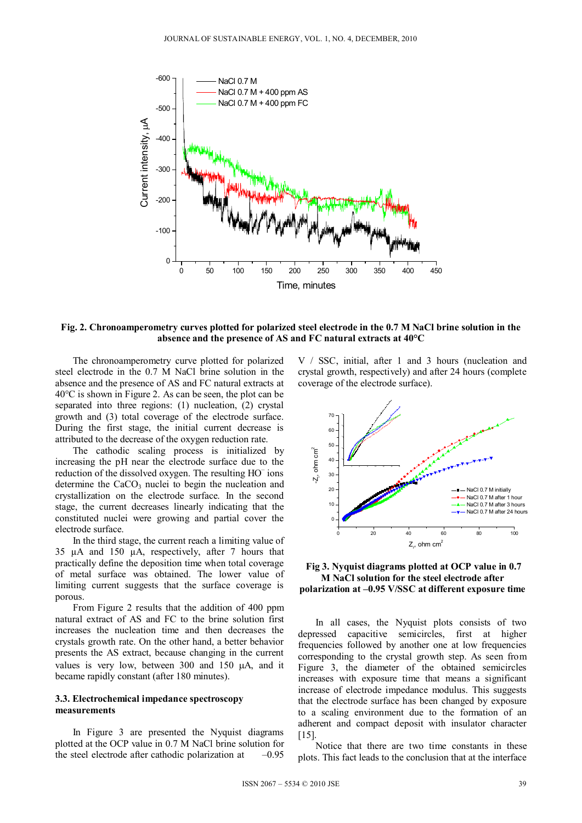

# **Fig. 2. Chronoamperometry curves plotted for polarized steel electrode in the 0.7 M NaCl brine solution in the absence and the presence of AS and FC natural extracts at 40°C**

The chronoamperometry curve plotted for polarized steel electrode in the 0.7 M NaCl brine solution in the absence and the presence of AS and FC natural extracts at 40°C is shown in Figure 2. As can be seen, the plot can be separated into three regions: (1) nucleation, (2) crystal growth and (3) total coverage of the electrode surface. During the first stage, the initial current decrease is attributed to the decrease of the oxygen reduction rate.

The cathodic scaling process is initialized by increasing the pH near the electrode surface due to the reduction of the dissolved oxygen. The resulting HO<sup>-</sup> ions determine the  $CaCO<sub>3</sub>$  nuclei to begin the nucleation and crystallization on the electrode surface. In the second stage, the current decreases linearly indicating that the constituted nuclei were growing and partial cover the electrode surface.

In the third stage, the current reach a limiting value of 35 µA and 150 µA, respectively, after 7 hours that practically define the deposition time when total coverage of metal surface was obtained. The lower value of limiting current suggests that the surface coverage is porous.

From Figure 2 results that the addition of 400 ppm natural extract of AS and FC to the brine solution first increases the nucleation time and then decreases the crystals growth rate. On the other hand, a better behavior presents the AS extract, because changing in the current values is very low, between  $300$  and  $150 \mu A$ , and it became rapidly constant (after 180 minutes).

## **3.3. Electrochemical impedance spectroscopy measurements**

In Figure 3 are presented the Nyquist diagrams plotted at the OCP value in 0.7 M NaCl brine solution for the steel electrode after cathodic polarization at  $-0.95$ 

V / SSC, initial, after 1 and 3 hours (nucleation and crystal growth, respectively) and after 24 hours (complete coverage of the electrode surface).



 **Fig 3. Nyquist diagrams plotted at OCP value in 0.7 M NaCl solution for the steel electrode after polarization at –0.95 V/SSC at different exposure time** 

In all cases, the Nyquist plots consists of two depressed capacitive semicircles, first at higher frequencies followed by another one at low frequencies corresponding to the crystal growth step. As seen from Figure 3, the diameter of the obtained semicircles increases with exposure time that means a significant increase of electrode impedance modulus. This suggests that the electrode surface has been changed by exposure to a scaling environment due to the formation of an adherent and compact deposit with insulator character [15].

Notice that there are two time constants in these plots. This fact leads to the conclusion that at the interface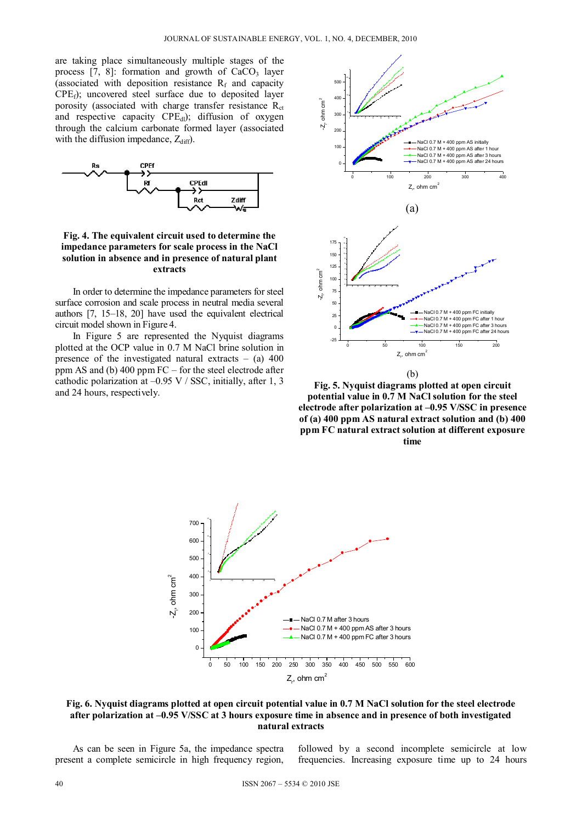are taking place simultaneously multiple stages of the process  $[7, 8]$ : formation and growth of CaCO<sub>3</sub> layer (associated with deposition resistance  $R_f$  and capacity  $CPE<sub>f</sub>$ ); uncovered steel surface due to deposited layer porosity (associated with charge transfer resistance  $R_{\text{ct}}$ and respective capacity  $CPE<sub>dl</sub>$ ); diffusion of oxygen through the calcium carbonate formed layer (associated with the diffusion impedance,  $Z_{\text{diff}}$ ).



**Fig. 4. The equivalent circuit used to determine the impedance parameters for scale process in the NaCl solution in absence and in presence of natural plant extracts** 

In order to determine the impedance parameters for steel surface corrosion and scale process in neutral media several authors [7, 15–18, 20] have used the equivalent electrical circuit model shown in Figure 4.

In Figure 5 are represented the Nyquist diagrams plotted at the OCP value in 0.7 M NaCl brine solution in presence of the investigated natural extracts  $-$  (a) 400 ppm AS and (b)  $400$  ppm FC – for the steel electrode after cathodic polarization at  $-0.95$  V / SSC, initially, after 1, 3 and 24 hours, respectively.



**Fig. 5. Nyquist diagrams plotted at open circuit potential value in 0.7 M NaCl solution for the steel electrode after polarization at –0.95 V/SSC in presence of (a) 400 ppm AS natural extract solution and (b) 400 ppm FC natural extract solution at different exposure time** 



**Fig. 6. Nyquist diagrams plotted at open circuit potential value in 0.7 M NaCl solution for the steel electrode after polarization at –0.95 V/SSC at 3 hours exposure time in absence and in presence of both investigated natural extracts** 

As can be seen in Figure 5a, the impedance spectra present a complete semicircle in high frequency region, followed by a second incomplete semicircle at low frequencies. Increasing exposure time up to 24 hours